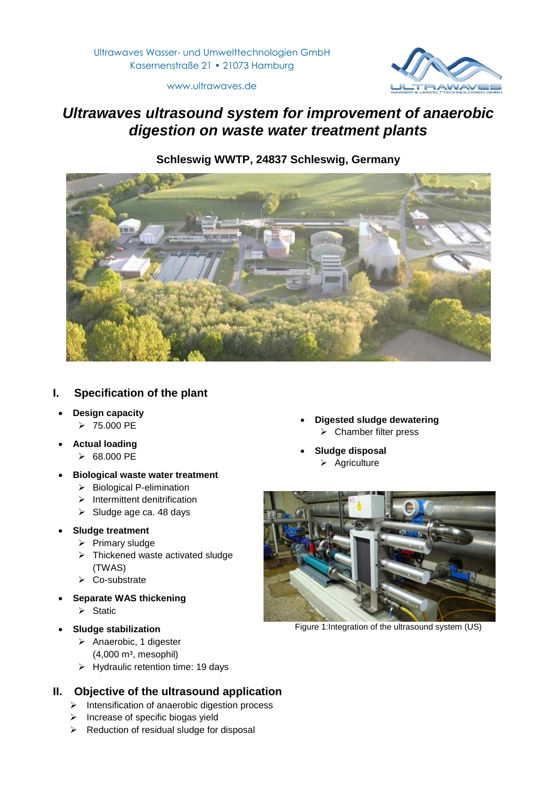

www.ultrawaves.de

# *Ultrawaves ultrasound system for improvement of anaerobic digestion on waste water treatment plants*

**Schleswig WWTP, 24837 Schleswig, Germany**



# **I. Specification of the plant**

- **Design capacity**
	- $> 75.000$  PE
- **Actual loading**
	- $\triangleright$  68.000 PE
- **Biological waste water treatment**
	- $\triangleright$  Biological P-elimination
	- $\blacktriangleright$  Intermittent denitrification
	- $\triangleright$  Sludge age ca. 48 days

## **Sludge treatment**

- $\triangleright$  Primary sludge
- $\triangleright$  Thickened waste activated sludge (TWAS)
- $\triangleright$  Co-substrate
- **Separate WAS thickening**
	- $\triangleright$  Static
- **Sludge stabilization**
	- $\triangleright$  Anaerobic, 1 digester  $(4,000 \text{ m}^3, \text{mesophil})$
	- $\triangleright$  Hydraulic retention time: 19 days

# **II. Objective of the ultrasound application**

- $\triangleright$  Intensification of anaerobic digestion process
- $\triangleright$  Increase of specific biogas yield
- $\triangleright$  Reduction of residual sludge for disposal
- **Digested sludge dewatering**  $\triangleright$  Chamber filter press
- **Sludge disposal**
	- $\triangleright$  Agriculture



Figure 1:Integration of the ultrasound system (US)